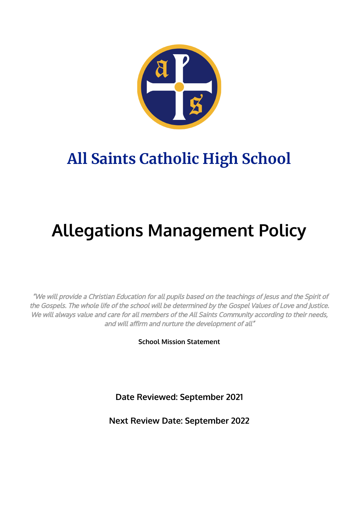

# **All Saints Catholic High School**

# **Allegations Management Policy**

"We will provide <sup>a</sup> Christian Education for all pupils based on the teachings of Jesus and the Spirit of the Gospels. The whole life of the school will be determined by the Gospel Values of Love and Justice. We will always value and care for all members of the All Saints Community according to their needs, and will affirm and nurture the development of all"

**School Mission Statement**

**Date Reviewed: September 2021**

**Next Review Date: September 2022**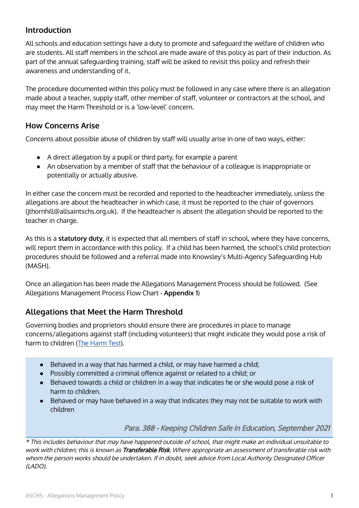# **Introduction**

All schools and education settings have a duty to promote and safeguard the welfare of children who are students. All staff members in the school are made aware of this policy as part of their induction. As part of the annual safeguarding training, staff will be asked to revisit this policy and refresh their awareness and understanding of it.

The procedure documented within this policy must be followed in any case where there is an allegation made about a teacher, supply staff, other member of staff, volunteer or contractors at the school, and may meet the Harm Threshold or is a 'low-level' concern.

#### **How Concerns Arise**

Concerns about possible abuse of children by staff will usually arise in one of two ways, either:

- A direct allegation by a pupil or third party, for example a parent
- An observation by a member of staff that the behaviour of a colleague is inappropriate or potentially or actually abusive.

In either case the concern must be recorded and reported to the headteacher immediately, unless the allegations are about the headteacher in which case, it must be reported to the chair of governors (jthornhill@allsaintschs.org.uk). If the headteacher is absent the allegation should be reported to the teacher in charge.

As this is a **statutory duty**, it is expected that all members of staff in school, where they have concerns, will report them in accordance with this policy. If a child has been harmed, the school's child protection procedures should be followed and a referral made into Knowsley's Multi-Agency Safeguarding Hub (MASH).

Once an allegation has been made the Allegations Management Process should be followed. (See Allegations Management Process Flow Chart - **Appendix 1**)

#### **Allegations that Meet the Harm Threshold**

Governing bodies and proprietors should ensure there are procedures in place to manage concerns/allegations against staff (including volunteers) that might indicate they would pose a risk of harm to children (The [Harm](https://www.gov.uk/guidance/making-barring-referrals-to-the-dbs#what-is-the-harm-test) Test).

- Behaved in a way that has harmed a child, or may have harmed a child;
- Possibly committed a criminal offence against or related to a child; or
- Behaved towards a child or children in a way that indicates he or she would pose a risk of harm to children.
- Behaved or may have behaved in a way that indicates they may not be suitable to work with children

Para. 388 - Keeping Children Safe in Education, September 2021

\* This includes behaviour that may have happened outside of school, that might make an individual unsuitable to work with children; this is known as Transferable Risk. Where appropriate an assessment of transferable risk with whom the person works should be undertaken. If in doubt, seek advice from Local Authority Designated Officer (LADO).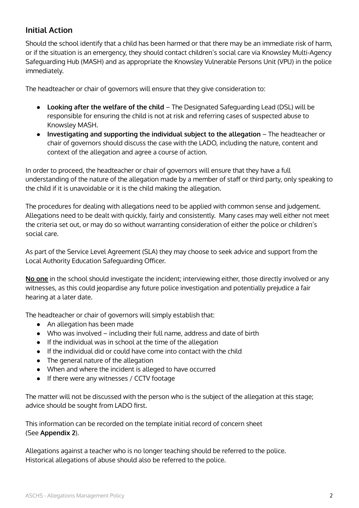# **Initial Action**

Should the school identify that a child has been harmed or that there may be an immediate risk of harm, or if the situation is an emergency, they should contact children's social care via Knowsley Multi-Agency Safeguarding Hub (MASH) and as appropriate the Knowsley Vulnerable Persons Unit (VPU) in the police immediately.

The headteacher or chair of governors will ensure that they give consideration to:

- **Looking after the welfare of the child** The Designated Safeguarding Lead (DSL) will be responsible for ensuring the child is not at risk and referring cases of suspected abuse to Knowsley MASH.
- **Investigating and supporting the individual subject to the allegation** The headteacher or chair of governors should discuss the case with the LADO, including the nature, content and context of the allegation and agree a course of action.

In order to proceed, the headteacher or chair of governors will ensure that they have a full understanding of the nature of the allegation made by a member of staff or third party, only speaking to the child if it is unavoidable or it is the child making the allegation.

The procedures for dealing with allegations need to be applied with common sense and judgement. Allegations need to be dealt with quickly, fairly and consistently. Many cases may well either not meet the criteria set out, or may do so without warranting consideration of either the police or children's social care.

As part of the Service Level Agreement (SLA) they may choose to seek advice and support from the Local Authority Education Safeguarding Officer.

**No one** in the school should investigate the incident; interviewing either, those directly involved or any witnesses, as this could jeopardise any future police investigation and potentially prejudice a fair hearing at a later date.

The headteacher or chair of governors will simply establish that:

- An allegation has been made
- Who was involved including their full name, address and date of birth
- If the individual was in school at the time of the allegation
- If the individual did or could have come into contact with the child
- The general nature of the allegation
- When and where the incident is alleged to have occurred
- If there were any witnesses / CCTV footage

The matter will not be discussed with the person who is the subject of the allegation at this stage; advice should be sought from LADO first.

This information can be recorded on the template initial record of concern sheet (See **Appendix 2**).

Allegations against a teacher who is no longer teaching should be referred to the police. Historical allegations of abuse should also be referred to the police.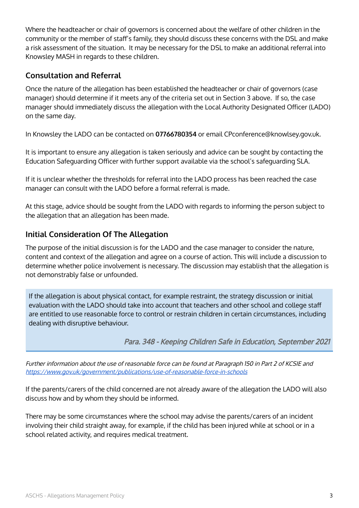Where the headteacher or chair of governors is concerned about the welfare of other children in the community or the member of staff's family, they should discuss these concerns with the DSL and make a risk assessment of the situation. It may be necessary for the DSL to make an additional referral into Knowsley MASH in regards to these children.

#### **Consultation and Referral**

Once the nature of the allegation has been established the headteacher or chair of governors (case manager) should determine if it meets any of the criteria set out in Section 3 above. If so, the case manager should immediately discuss the allegation with the Local Authority Designated Officer (LADO) on the same day.

In Knowsley the LADO can be contacted on **07766780354** or email CPconference@knowlsey.gov.uk.

It is important to ensure any allegation is taken seriously and advice can be sought by contacting the Education Safeguarding Officer with further support available via the school's safeguarding SLA.

If it is unclear whether the thresholds for referral into the LADO process has been reached the case manager can consult with the LADO before a formal referral is made.

At this stage, advice should be sought from the LADO with regards to informing the person subject to the allegation that an allegation has been made.

# **Initial Consideration Of The Allegation**

The purpose of the initial discussion is for the LADO and the case manager to consider the nature, content and context of the allegation and agree on a course of action. This will include a discussion to determine whether police involvement is necessary. The discussion may establish that the allegation is not demonstrably false or unfounded.

If the allegation is about physical contact, for example restraint, the strategy discussion or initial evaluation with the LADO should take into account that teachers and other school and college staff are entitled to use reasonable force to control or restrain children in certain circumstances, including dealing with disruptive behaviour.

Para. 348 - Keeping Children Safe in Education, September 2021

Further information about the use of reasonable force can be found at Paragraph 150 in Part 2 of KCSIE and <https://www.gov.uk/government/publications/use-of-reasonable-force-in-schools>

If the parents/carers of the child concerned are not already aware of the allegation the LADO will also discuss how and by whom they should be informed.

There may be some circumstances where the school may advise the parents/carers of an incident involving their child straight away, for example, if the child has been injured while at school or in a school related activity, and requires medical treatment.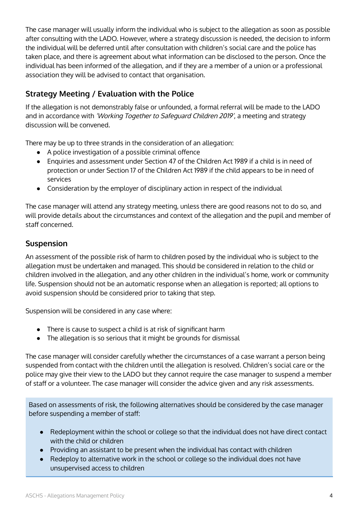The case manager will usually inform the individual who is subject to the allegation as soon as possible after consulting with the LADO. However, where a strategy discussion is needed, the decision to inform the individual will be deferred until after consultation with children's social care and the police has taken place, and there is agreement about what information can be disclosed to the person. Once the individual has been informed of the allegation, and if they are a member of a union or a professional association they will be advised to contact that organisation.

# **Strategy Meeting / Evaluation with the Police**

If the allegation is not demonstrably false or unfounded, a formal referral will be made to the LADO and in accordance with 'Working Together to Safeguard Children 2019', a meeting and strategy discussion will be convened.

There may be up to three strands in the consideration of an allegation:

- A police investigation of a possible criminal offence
- Enquiries and assessment under Section 47 of the Children Act 1989 if a child is in need of protection or under Section 17 of the Children Act 1989 if the child appears to be in need of services
- Consideration by the employer of disciplinary action in respect of the individual

The case manager will attend any strategy meeting, unless there are good reasons not to do so, and will provide details about the circumstances and context of the allegation and the pupil and member of staff concerned.

#### **Suspension**

An assessment of the possible risk of harm to children posed by the individual who is subject to the allegation must be undertaken and managed. This should be considered in relation to the child or children involved in the allegation, and any other children in the individual's home, work or community life. Suspension should not be an automatic response when an allegation is reported; all options to avoid suspension should be considered prior to taking that step.

Suspension will be considered in any case where:

- There is cause to suspect a child is at risk of significant harm
- The allegation is so serious that it might be grounds for dismissal

The case manager will consider carefully whether the circumstances of a case warrant a person being suspended from contact with the children until the allegation is resolved. Children's social care or the police may give their view to the LADO but they cannot require the case manager to suspend a member of staff or a volunteer. The case manager will consider the advice given and any risk assessments.

Based on assessments of risk, the following alternatives should be considered by the case manager before suspending a member of staff:

- Redeployment within the school or college so that the individual does not have direct contact with the child or children
- Providing an assistant to be present when the individual has contact with children
- Redeploy to alternative work in the school or college so the individual does not have unsupervised access to children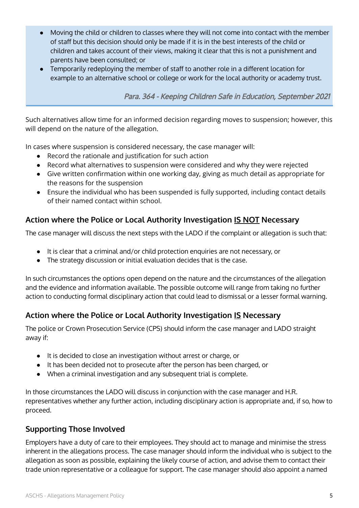- Moving the child or children to classes where they will not come into contact with the member of staff but this decision should only be made if it is in the best interests of the child or children and takes account of their views, making it clear that this is not a punishment and parents have been consulted; or
- Temporarily redeploying the member of staff to another role in a different location for example to an alternative school or college or work for the local authority or academy trust.

Para. 364 - Keeping Children Safe in Education, September 2021

Such alternatives allow time for an informed decision regarding moves to suspension; however, this will depend on the nature of the allegation.

In cases where suspension is considered necessary, the case manager will:

- Record the rationale and justification for such action
- Record what alternatives to suspension were considered and why they were rejected
- Give written confirmation within one working day, giving as much detail as appropriate for the reasons for the suspension
- Ensure the individual who has been suspended is fully supported, including contact details of their named contact within school.

# **Action where the Police or Local Authority Investigation IS NOT Necessary**

The case manager will discuss the next steps with the LADO if the complaint or allegation is such that:

- It is clear that a criminal and/or child protection enquiries are not necessary, or
- The strategy discussion or initial evaluation decides that is the case.

In such circumstances the options open depend on the nature and the circumstances of the allegation and the evidence and information available. The possible outcome will range from taking no further action to conducting formal disciplinary action that could lead to dismissal or a lesser formal warning.

# **Action where the Police or Local Authority Investigation IS Necessary**

The police or Crown Prosecution Service (CPS) should inform the case manager and LADO straight away if:

- It is decided to close an investigation without arrest or charge, or
- It has been decided not to prosecute after the person has been charged, or
- When a criminal investigation and any subsequent trial is complete.

In those circumstances the LADO will discuss in conjunction with the case manager and H.R. representatives whether any further action, including disciplinary action is appropriate and, if so, how to proceed.

# **Supporting Those Involved**

Employers have a duty of care to their employees. They should act to manage and minimise the stress inherent in the allegations process. The case manager should inform the individual who is subject to the allegation as soon as possible, explaining the likely course of action, and advise them to contact their trade union representative or a colleague for support. The case manager should also appoint a named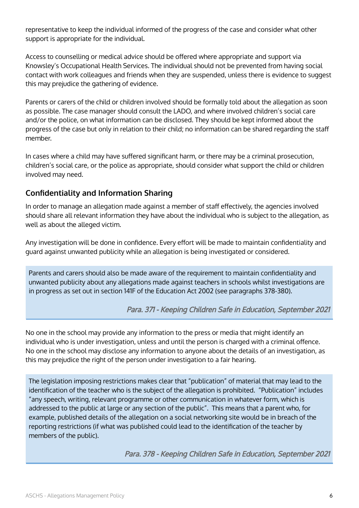representative to keep the individual informed of the progress of the case and consider what other support is appropriate for the individual.

Access to counselling or medical advice should be offered where appropriate and support via Knowsley's Occupational Health Services. The individual should not be prevented from having social contact with work colleagues and friends when they are suspended, unless there is evidence to suggest this may prejudice the gathering of evidence.

Parents or carers of the child or children involved should be formally told about the allegation as soon as possible. The case manager should consult the LADO, and where involved children's social care and/or the police, on what information can be disclosed. They should be kept informed about the progress of the case but only in relation to their child; no information can be shared regarding the staff member.

In cases where a child may have suffered significant harm, or there may be a criminal prosecution, children's social care, or the police as appropriate, should consider what support the child or children involved may need.

# **Confidentiality and Information Sharing**

In order to manage an allegation made against a member of staff effectively, the agencies involved should share all relevant information they have about the individual who is subject to the allegation, as well as about the alleged victim.

Any investigation will be done in confidence. Every effort will be made to maintain confidentiality and guard against unwanted publicity while an allegation is being investigated or considered.

Parents and carers should also be made aware of the requirement to maintain confidentiality and unwanted publicity about any allegations made against teachers in schools whilst investigations are in progress as set out in section 141F of the Education Act 2002 (see paragraphs 378-380).

Para. 371 - Keeping Children Safe in Education, September 2021

No one in the school may provide any information to the press or media that might identify an individual who is under investigation, unless and until the person is charged with a criminal offence. No one in the school may disclose any information to anyone about the details of an investigation, as this may prejudice the right of the person under investigation to a fair hearing.

The legislation imposing restrictions makes clear that "publication" of material that may lead to the identification of the teacher who is the subject of the allegation is prohibited. "Publication" includes "any speech, writing, relevant programme or other communication in whatever form, which is addressed to the public at large or any section of the public". This means that a parent who, for example, published details of the allegation on a social networking site would be in breach of the reporting restrictions (if what was published could lead to the identification of the teacher by members of the public).

Para. 378 - Keeping Children Safe in Education, September 2021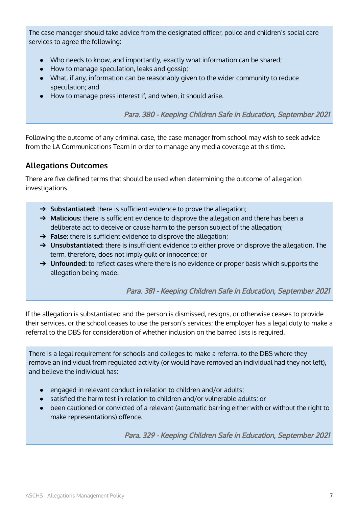The case manager should take advice from the designated officer, police and children's social care services to agree the following:

- Who needs to know, and importantly, exactly what information can be shared;
- How to manage speculation, leaks and gossip;
- What, if any, information can be reasonably given to the wider community to reduce speculation; and
- How to manage press interest if, and when, it should arise.

Para. 380 - Keeping Children Safe in Education, September 2021

Following the outcome of any criminal case, the case manager from school may wish to seek advice from the LA Communications Team in order to manage any media coverage at this time.

#### **Allegations Outcomes**

There are five defined terms that should be used when determining the outcome of allegation investigations.

- ➔ **Substantiated:** there is sufficient evidence to prove the allegation;
- ➔ **Malicious:** there is sufficient evidence to disprove the allegation and there has been a deliberate act to deceive or cause harm to the person subject of the allegation;
- ➔ **False:** there is sufficient evidence to disprove the allegation;
- → **Unsubstantiated:** there is insufficient evidence to either prove or disprove the allegation. The term, therefore, does not imply guilt or innocence; or
- → **Unfounded:** to reflect cases where there is no evidence or proper basis which supports the allegation being made.

#### Para. 381 - Keeping Children Safe in Education, September 2021

If the allegation is substantiated and the person is dismissed, resigns, or otherwise ceases to provide their services, or the school ceases to use the person's services; the employer has a legal duty to make a referral to the DBS for consideration of whether inclusion on the barred lists is required.

There is a legal requirement for schools and colleges to make a referral to the DBS where they remove an individual from regulated activity (or would have removed an individual had they not left), and believe the individual has:

- engaged in relevant conduct in relation to children and/or adults;
- satisfied the harm test in relation to children and/or vulnerable adults; or
- been cautioned or convicted of a relevant (automatic barring either with or without the right to make representations) offence.

Para. 329 - Keeping Children Safe in Education, September 2021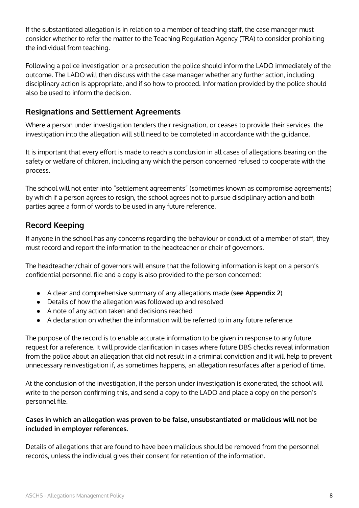If the substantiated allegation is in relation to a member of teaching staff, the case manager must consider whether to refer the matter to the Teaching Regulation Agency (TRA) to consider prohibiting the individual from teaching.

Following a police investigation or a prosecution the police should inform the LADO immediately of the outcome. The LADO will then discuss with the case manager whether any further action, including disciplinary action is appropriate, and if so how to proceed. Information provided by the police should also be used to inform the decision.

#### **Resignations and Settlement Agreements**

Where a person under investigation tenders their resignation, or ceases to provide their services, the investigation into the allegation will still need to be completed in accordance with the guidance.

It is important that every effort is made to reach a conclusion in all cases of allegations bearing on the safety or welfare of children, including any which the person concerned refused to cooperate with the process.

The school will not enter into "settlement agreements" (sometimes known as compromise agreements) by which if a person agrees to resign, the school agrees not to pursue disciplinary action and both parties agree a form of words to be used in any future reference.

# **Record Keeping**

If anyone in the school has any concerns regarding the behaviour or conduct of a member of staff, they must record and report the information to the headteacher or chair of governors.

The headteacher/chair of governors will ensure that the following information is kept on a person's confidential personnel file and a copy is also provided to the person concerned:

- A clear and comprehensive summary of any allegations made (**see Appendix 2**)
- Details of how the allegation was followed up and resolved
- A note of any action taken and decisions reached
- A declaration on whether the information will be referred to in any future reference

The purpose of the record is to enable accurate information to be given in response to any future request for a reference. It will provide clarification in cases where future DBS checks reveal information from the police about an allegation that did not result in a criminal conviction and it will help to prevent unnecessary reinvestigation if, as sometimes happens, an allegation resurfaces after a period of time.

At the conclusion of the investigation, if the person under investigation is exonerated, the school will write to the person confirming this, and send a copy to the LADO and place a copy on the person's personnel file.

#### **Cases in which an allegation was proven to be false, unsubstantiated or malicious will not be included in employer references.**

Details of allegations that are found to have been malicious should be removed from the personnel records, unless the individual gives their consent for retention of the information.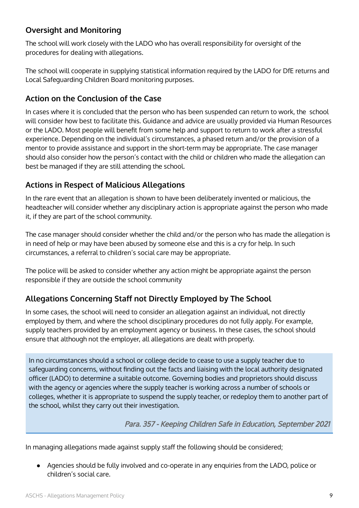# **Oversight and Monitoring**

The school will work closely with the LADO who has overall responsibility for oversight of the procedures for dealing with allegations.

The school will cooperate in supplying statistical information required by the LADO for DfE returns and Local Safeguarding Children Board monitoring purposes.

#### **Action on the Conclusion of the Case**

In cases where it is concluded that the person who has been suspended can return to work, the school will consider how best to facilitate this. Guidance and advice are usually provided via Human Resources or the LADO. Most people will benefit from some help and support to return to work after a stressful experience. Depending on the individual's circumstances, a phased return and/or the provision of a mentor to provide assistance and support in the short-term may be appropriate. The case manager should also consider how the person's contact with the child or children who made the allegation can best be managed if they are still attending the school.

### **Actions in Respect of Malicious Allegations**

In the rare event that an allegation is shown to have been deliberately invented or malicious, the headteacher will consider whether any disciplinary action is appropriate against the person who made it, if they are part of the school community.

The case manager should consider whether the child and/or the person who has made the allegation is in need of help or may have been abused by someone else and this is a cry for help. In such circumstances, a referral to children's social care may be appropriate.

The police will be asked to consider whether any action might be appropriate against the person responsible if they are outside the school community

# **Allegations Concerning Staff not Directly Employed by The School**

In some cases, the school will need to consider an allegation against an individual, not directly employed by them, and where the school disciplinary procedures do not fully apply. For example, supply teachers provided by an employment agency or business. In these cases, the school should ensure that although not the employer, all allegations are dealt with properly.

In no circumstances should a school or college decide to cease to use a supply teacher due to safeguarding concerns, without finding out the facts and liaising with the local authority designated officer (LADO) to determine a suitable outcome. Governing bodies and proprietors should discuss with the agency or agencies where the supply teacher is working across a number of schools or colleges, whether it is appropriate to suspend the supply teacher, or redeploy them to another part of the school, whilst they carry out their investigation.

Para. 357 - Keeping Children Safe in Education, September 2021

In managing allegations made against supply staff the following should be considered;

Agencies should be fully involved and co-operate in any enquiries from the LADO, police or children's social care.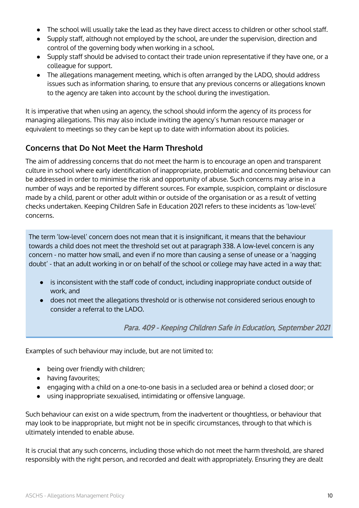- The school will usually take the lead as they have direct access to children or other school staff.
- Supply staff, although not employed by the school, are under the supervision, direction and control of the governing body when working in a school.
- Supply staff should be advised to contact their trade union representative if they have one, or a colleague for support.
- The allegations management meeting, which is often arranged by the LADO, should address issues such as information sharing, to ensure that any previous concerns or allegations known to the agency are taken into account by the school during the investigation.

It is imperative that when using an agency, the school should inform the agency of its process for managing allegations. This may also include inviting the agency's human resource manager or equivalent to meetings so they can be kept up to date with information about its policies.

# **Concerns that Do Not Meet the Harm Threshold**

The aim of addressing concerns that do not meet the harm is to encourage an open and transparent culture in school where early identification of inappropriate, problematic and concerning behaviour can be addressed in order to minimise the risk and opportunity of abuse. Such concerns may arise in a number of ways and be reported by different sources. For example, suspicion, complaint or disclosure made by a child, parent or other adult within or outside of the organisation or as a result of vetting checks undertaken. Keeping Children Safe in Education 2021 refers to these incidents as 'low-level' concerns.

The term 'low-level' concern does not mean that it is insignificant, it means that the behaviour towards a child does not meet the threshold set out at paragraph 338. A low-level concern is any concern - no matter how small, and even if no more than causing a sense of unease or a 'nagging doubt' - that an adult working in or on behalf of the school or college may have acted in a way that:

- is inconsistent with the staff code of conduct, including inappropriate conduct outside of work, and
- does not meet the allegations threshold or is otherwise not considered serious enough to consider a referral to the LADO.

Para. 409 - Keeping Children Safe in Education, September 2021

Examples of such behaviour may include, but are not limited to:

- being over friendly with children;
- having favourites;
- engaging with a child on a one-to-one basis in a secluded area or behind a closed door; or
- using inappropriate sexualised, intimidating or offensive language.

Such behaviour can exist on a wide spectrum, from the inadvertent or thoughtless, or behaviour that may look to be inappropriate, but might not be in specific circumstances, through to that which is ultimately intended to enable abuse.

It is crucial that any such concerns, including those which do not meet the harm threshold, are shared responsibly with the right person, and recorded and dealt with appropriately. Ensuring they are dealt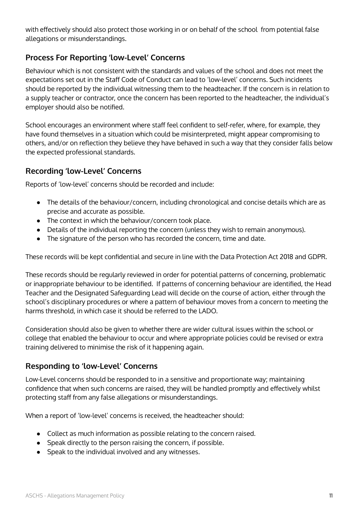with effectively should also protect those working in or on behalf of the school from potential false allegations or misunderstandings.

# **Process For Reporting 'low-Level' Concerns**

Behaviour which is not consistent with the standards and values of the school and does not meet the expectations set out in the Staff Code of Conduct can lead to 'low-level' concerns. Such incidents should be reported by the individual witnessing them to the headteacher. If the concern is in relation to a supply teacher or contractor, once the concern has been reported to the headteacher, the individual's employer should also be notified.

School encourages an environment where staff feel confident to self-refer, where, for example, they have found themselves in a situation which could be misinterpreted, might appear compromising to others, and/or on reflection they believe they have behaved in such a way that they consider falls below the expected professional standards.

#### **Recording 'low-Level' Concerns**

Reports of 'low-level' concerns should be recorded and include:

- The details of the behaviour/concern, including chronological and concise details which are as precise and accurate as possible.
- The context in which the behaviour/concern took place.
- Details of the individual reporting the concern (unless they wish to remain anonymous).
- The signature of the person who has recorded the concern, time and date.

These records will be kept confidential and secure in line with the Data Protection Act 2018 and GDPR.

These records should be regularly reviewed in order for potential patterns of concerning, problematic or inappropriate behaviour to be identified. If patterns of concerning behaviour are identified, the Head Teacher and the Designated Safeguarding Lead will decide on the course of action, either through the school's disciplinary procedures or where a pattern of behaviour moves from a concern to meeting the harms threshold, in which case it should be referred to the LADO.

Consideration should also be given to whether there are wider cultural issues within the school or college that enabled the behaviour to occur and where appropriate policies could be revised or extra training delivered to minimise the risk of it happening again.

#### **Responding to 'low-Level' Concerns**

Low-Level concerns should be responded to in a sensitive and proportionate way; maintaining confidence that when such concerns are raised, they will be handled promptly and effectively whilst protecting staff from any false allegations or misunderstandings.

When a report of 'low-level' concerns is received, the headteacher should:

- Collect as much information as possible relating to the concern raised.
- Speak directly to the person raising the concern, if possible.
- Speak to the individual involved and any witnesses.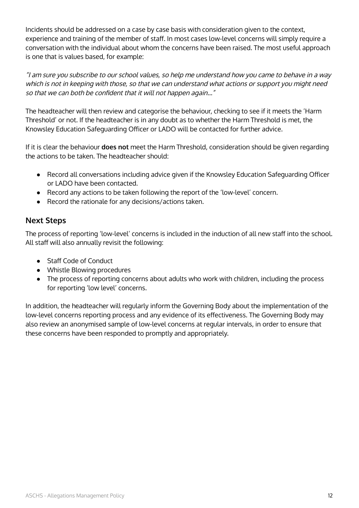Incidents should be addressed on a case by case basis with consideration given to the context, experience and training of the member of staff. In most cases low-level concerns will simply require a conversation with the individual about whom the concerns have been raised. The most useful approach is one that is values based, for example:

"I am sure you subscribe to our school values, so help me understand how you came to behave in <sup>a</sup> way which is not in keeping with those, so that we can understand what actions or support you might need so that we can both be confident that it will not happen again..."

The headteacher will then review and categorise the behaviour, checking to see if it meets the 'Harm Threshold' or not. If the headteacher is in any doubt as to whether the Harm Threshold is met, the Knowsley Education Safeguarding Officer or LADO will be contacted for further advice.

If it is clear the behaviour **does not** meet the Harm Threshold, consideration should be given regarding the actions to be taken. The headteacher should:

- Record all conversations including advice given if the Knowsley Education Safeguarding Officer or LADO have been contacted.
- Record any actions to be taken following the report of the 'low-level' concern.
- Record the rationale for any decisions/actions taken.

### **Next Steps**

The process of reporting 'low-level' concerns is included in the induction of all new staff into the school. All staff will also annually revisit the following:

- Staff Code of Conduct
- Whistle Blowing procedures
- The process of reporting concerns about adults who work with children, including the process for reporting 'low level' concerns.

In addition, the headteacher will regularly inform the Governing Body about the implementation of the low-level concerns reporting process and any evidence of its effectiveness. The Governing Body may also review an anonymised sample of low-level concerns at regular intervals, in order to ensure that these concerns have been responded to promptly and appropriately.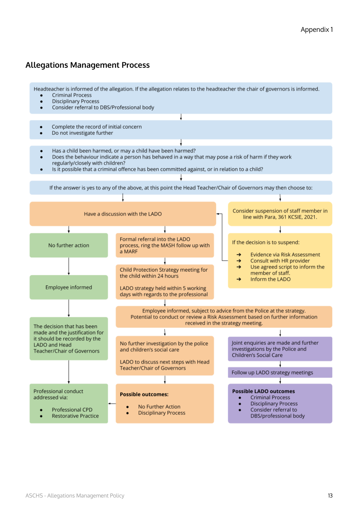### **Allegations Management Process**

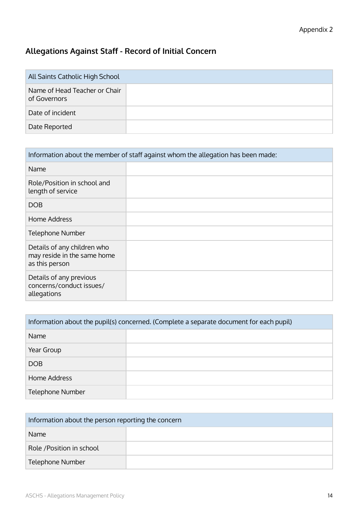# **Allegations Against Staff - Record of Initial Concern**

| All Saints Catholic High School               |  |
|-----------------------------------------------|--|
| Name of Head Teacher or Chair<br>of Governors |  |
| Date of incident                              |  |
| Date Reported                                 |  |

| Information about the member of staff against whom the allegation has been made: |  |
|----------------------------------------------------------------------------------|--|
| Name                                                                             |  |
| Role/Position in school and<br>length of service                                 |  |
| <b>DOB</b>                                                                       |  |
| Home Address                                                                     |  |
| <b>Telephone Number</b>                                                          |  |
| Details of any children who<br>may reside in the same home<br>as this person     |  |
| Details of any previous<br>concerns/conduct issues/<br>allegations               |  |

| Information about the pupil(s) concerned. (Complete a separate document for each pupil) |  |  |
|-----------------------------------------------------------------------------------------|--|--|
| Name                                                                                    |  |  |
| Year Group                                                                              |  |  |
| <b>DOB</b>                                                                              |  |  |
| Home Address                                                                            |  |  |
| Telephone Number                                                                        |  |  |

| Information about the person reporting the concern |  |  |
|----------------------------------------------------|--|--|
| <b>Name</b>                                        |  |  |
| Role / Position in school                          |  |  |
| Telephone Number                                   |  |  |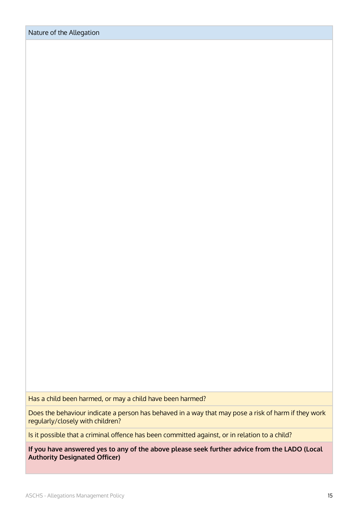Has a child been harmed, or may a child have been harmed?

Does the behaviour indicate a person has behaved in a way that may pose a risk of harm if they work regularly/closely with children?

Is it possible that a criminal offence has been committed against, or in relation to a child?

**If you have answered yes to any of the above please seek further advice from the LADO (Local Authority Designated Officer)**